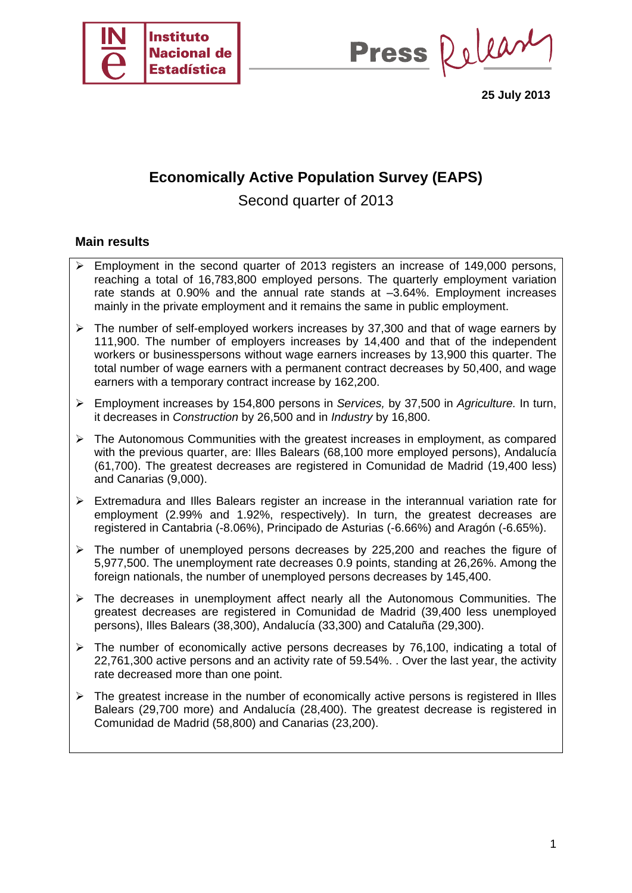

Press Release

**25 July 2013** 

# **Economically Active Population Survey (EAPS)**

Second quarter of 2013

### **Main results**

- $\triangleright$  Employment in the second quarter of 2013 registers an increase of 149,000 persons, reaching a total of 16,783,800 employed persons. The quarterly employment variation rate stands at 0.90% and the annual rate stands at –3.64%. Employment increases mainly in the private employment and it remains the same in public employment.
- $\triangleright$  The number of self-employed workers increases by 37,300 and that of wage earners by 111,900. The number of employers increases by 14,400 and that of the independent workers or businesspersons without wage earners increases by 13,900 this quarter. The total number of wage earners with a permanent contract decreases by 50,400, and wage earners with a temporary contract increase by 162,200.
- ¾ Employment increases by 154,800 persons in *Services,* by 37,500 in *Agriculture.* In turn, it decreases in *Construction* by 26,500 and in *Industry* by 16,800.
- $\triangleright$  The Autonomous Communities with the greatest increases in employment, as compared with the previous quarter, are: Illes Balears (68,100 more employed persons), Andalucía (61,700). The greatest decreases are registered in Comunidad de Madrid (19,400 less) and Canarias (9,000).
- ¾ Extremadura and Illes Balears register an increase in the interannual variation rate for employment (2.99% and 1.92%, respectively). In turn, the greatest decreases are registered in Cantabria (-8.06%), Principado de Asturias (-6.66%) and Aragón (-6.65%).
- $\triangleright$  The number of unemployed persons decreases by 225,200 and reaches the figure of 5,977,500. The unemployment rate decreases 0.9 points, standing at 26,26%. Among the foreign nationals, the number of unemployed persons decreases by 145,400.
- $\triangleright$  The decreases in unemployment affect nearly all the Autonomous Communities. The greatest decreases are registered in Comunidad de Madrid (39,400 less unemployed persons), Illes Balears (38,300), Andalucía (33,300) and Cataluña (29,300).
- $\triangleright$  The number of economically active persons decreases by 76,100, indicating a total of 22,761,300 active persons and an activity rate of 59.54%. . Over the last year, the activity rate decreased more than one point.
- $\triangleright$  The greatest increase in the number of economically active persons is registered in Illes Balears (29,700 more) and Andalucía (28,400). The greatest decrease is registered in Comunidad de Madrid (58,800) and Canarias (23,200).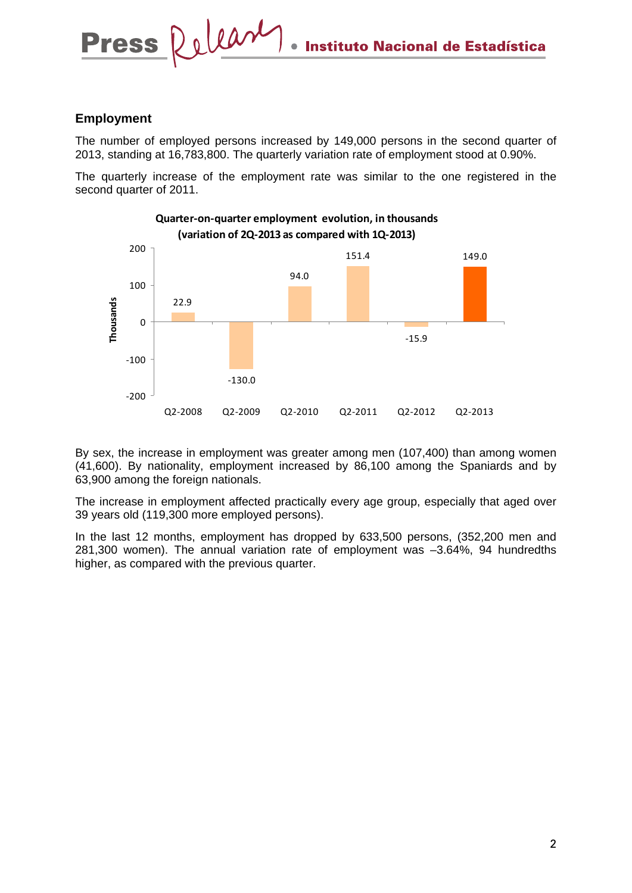### **Employment**

The number of employed persons increased by 149,000 persons in the second quarter of 2013, standing at 16,783,800. The quarterly variation rate of employment stood at 0.90%.

The quarterly increase of the employment rate was similar to the one registered in the second quarter of 2011.



**Quarter‐on‐quarter employment evolution, in thousands (variation of 2Q‐2013 as compared with 1Q‐2013)**

By sex, the increase in employment was greater among men (107,400) than among women (41,600). By nationality, employment increased by 86,100 among the Spaniards and by 63,900 among the foreign nationals.

The increase in employment affected practically every age group, especially that aged over 39 years old (119,300 more employed persons).

In the last 12 months, employment has dropped by 633,500 persons, (352,200 men and 281,300 women). The annual variation rate of employment was –3.64%, 94 hundredths higher, as compared with the previous quarter.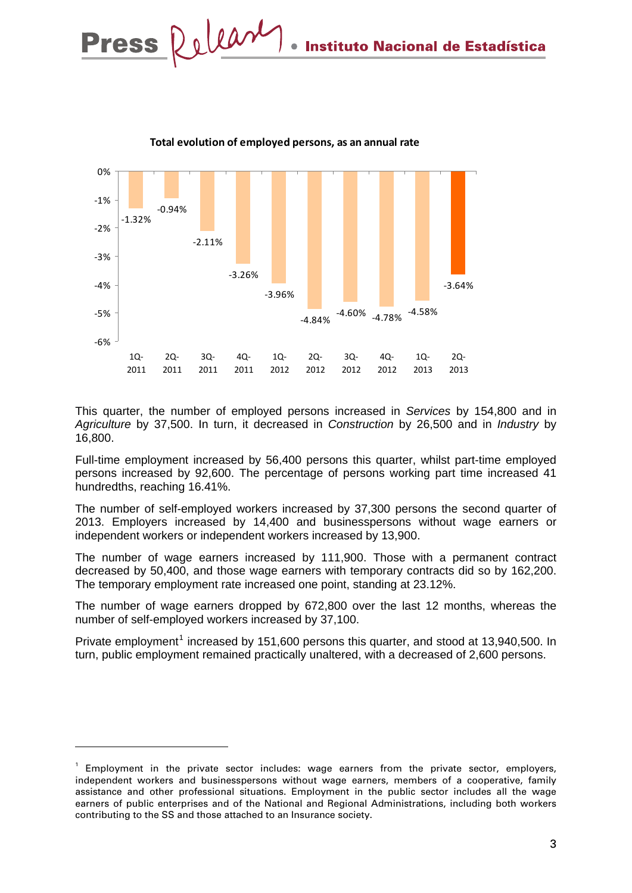

**Total evolution of employed persons, as an annual rate**

This quarter, the number of employed persons increased in *Services* by 154,800 and in *Agriculture* by 37,500. In turn, it decreased in *Construction* by 26,500 and in *Industry* by 16,800.

Full-time employment increased by 56,400 persons this quarter, whilst part-time employed persons increased by 92,600. The percentage of persons working part time increased 41 hundredths, reaching 16.41%.

The number of self-employed workers increased by 37,300 persons the second quarter of 2013. Employers increased by 14,400 and businesspersons without wage earners or independent workers or independent workers increased by 13,900.

The number of wage earners increased by 111,900. Those with a permanent contract decreased by 50,400, and those wage earners with temporary contracts did so by 162,200. The temporary employment rate increased one point, standing at 23.12%.

The number of wage earners dropped by 672,800 over the last 12 months, whereas the number of self-employed workers increased by 37,100.

Private employment<sup>1</sup> increased by 151,600 persons this quarter, and stood at 13,940,500. In turn, public employment remained practically unaltered, with a decreased of 2,600 persons.

-

 $1$  Employment in the private sector includes: wage earners from the private sector, employers, independent workers and businesspersons without wage earners, members of a cooperative, family assistance and other professional situations. Employment in the public sector includes all the wage earners of public enterprises and of the National and Regional Administrations, including both workers contributing to the SS and those attached to an Insurance society.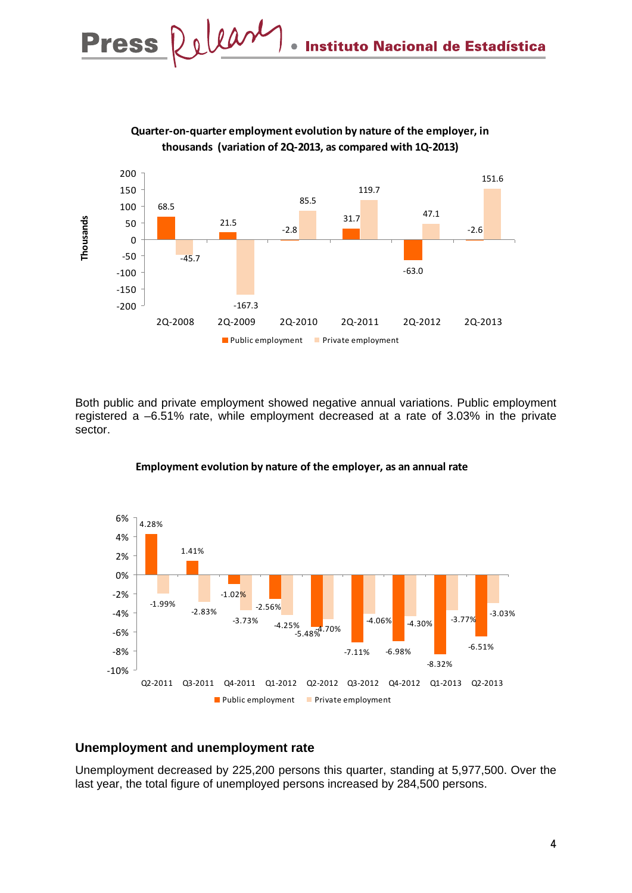

Both public and private employment showed negative annual variations. Public employment registered a –6.51% rate, while employment decreased at a rate of 3.03% in the private sector.



**Employment evolution by nature of the employer, as an annual rate**

### **Unemployment and unemployment rate**

Unemployment decreased by 225,200 persons this quarter, standing at 5,977,500. Over the last year, the total figure of unemployed persons increased by 284,500 persons.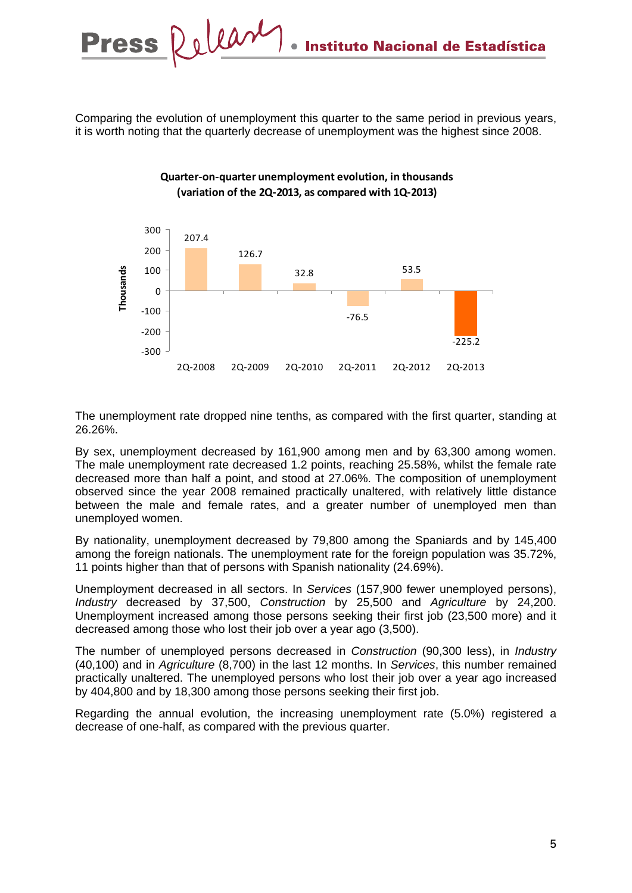Comparing the evolution of unemployment this quarter to the same period in previous years, it is worth noting that the quarterly decrease of unemployment was the highest since 2008.

> **Quarter‐on‐quarter unemployment evolution, in thousands (variation of the 2Q‐2013, as compared with 1Q‐2013)**



The unemployment rate dropped nine tenths, as compared with the first quarter, standing at 26.26%.

By sex, unemployment decreased by 161,900 among men and by 63,300 among women. The male unemployment rate decreased 1.2 points, reaching 25.58%, whilst the female rate decreased more than half a point, and stood at 27.06%. The composition of unemployment observed since the year 2008 remained practically unaltered, with relatively little distance between the male and female rates, and a greater number of unemployed men than unemployed women.

By nationality, unemployment decreased by 79,800 among the Spaniards and by 145,400 among the foreign nationals. The unemployment rate for the foreign population was 35.72%, 11 points higher than that of persons with Spanish nationality (24.69%).

Unemployment decreased in all sectors. In *Services* (157,900 fewer unemployed persons), *Industry* decreased by 37,500, *Construction* by 25,500 and *Agriculture* by 24,200. Unemployment increased among those persons seeking their first job (23,500 more) and it decreased among those who lost their job over a year ago (3,500).

The number of unemployed persons decreased in *Construction* (90,300 less), in *Industry* (40,100) and in *Agriculture* (8,700) in the last 12 months. In *Services*, this number remained practically unaltered. The unemployed persons who lost their job over a year ago increased by 404,800 and by 18,300 among those persons seeking their first job.

Regarding the annual evolution, the increasing unemployment rate (5.0%) registered a decrease of one-half, as compared with the previous quarter.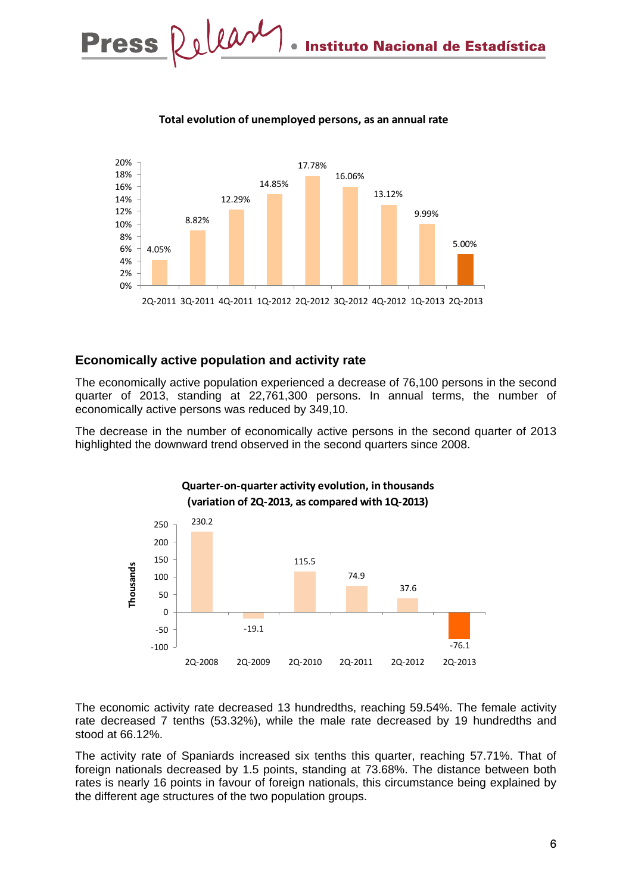

### **Total evolution of unemployed persons, as an annual rate**

### **Economically active population and activity rate**

The economically active population experienced a decrease of 76,100 persons in the second quarter of 2013, standing at 22,761,300 persons. In annual terms, the number of economically active persons was reduced by 349,10.

The decrease in the number of economically active persons in the second quarter of 2013 highlighted the downward trend observed in the second quarters since 2008.



**Quarter‐on‐quarter activity evolution, in thousands**

The economic activity rate decreased 13 hundredths, reaching 59.54%. The female activity rate decreased 7 tenths (53.32%), while the male rate decreased by 19 hundredths and stood at 66.12%.

The activity rate of Spaniards increased six tenths this quarter, reaching 57.71%. That of foreign nationals decreased by 1.5 points, standing at 73.68%. The distance between both rates is nearly 16 points in favour of foreign nationals, this circumstance being explained by the different age structures of the two population groups.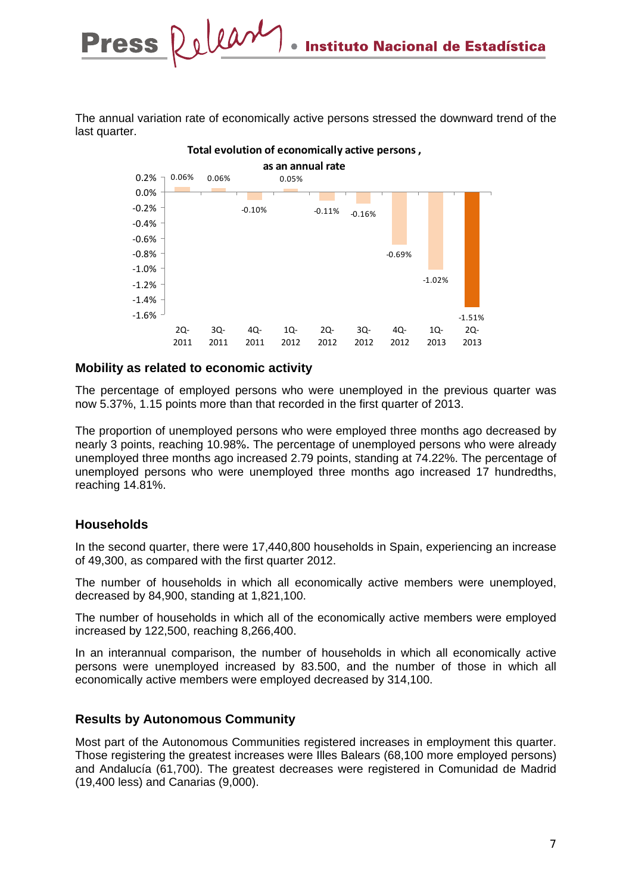The annual variation rate of economically active persons stressed the downward trend of the last quarter.



### **Total evolution of economically active persons,**

### **Mobility as related to economic activity**

The percentage of employed persons who were unemployed in the previous quarter was now 5.37%, 1.15 points more than that recorded in the first quarter of 2013.

The proportion of unemployed persons who were employed three months ago decreased by nearly 3 points, reaching 10.98%. The percentage of unemployed persons who were already unemployed three months ago increased 2.79 points, standing at 74.22%. The percentage of unemployed persons who were unemployed three months ago increased 17 hundredths, reaching 14.81%.

### **Households**

In the second quarter, there were 17,440,800 households in Spain, experiencing an increase of 49,300, as compared with the first quarter 2012.

The number of households in which all economically active members were unemployed, decreased by 84,900, standing at 1,821,100.

The number of households in which all of the economically active members were employed increased by 122,500, reaching 8,266,400.

In an interannual comparison, the number of households in which all economically active persons were unemployed increased by 83.500, and the number of those in which all economically active members were employed decreased by 314,100.

### **Results by Autonomous Community**

Most part of the Autonomous Communities registered increases in employment this quarter. Those registering the greatest increases were Illes Balears (68,100 more employed persons) and Andalucía (61,700). The greatest decreases were registered in Comunidad de Madrid (19,400 less) and Canarias (9,000).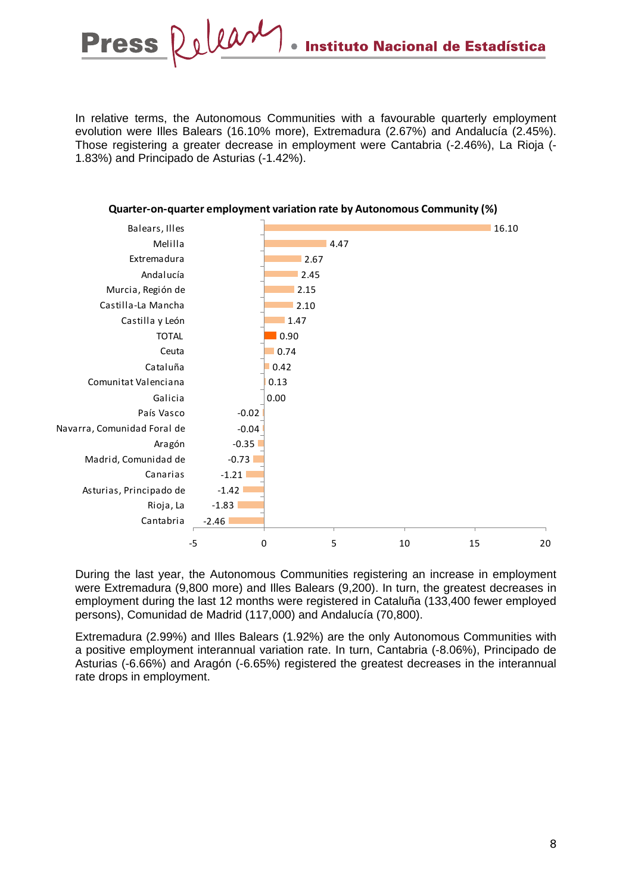Release **Press** Instituto Nacional de Estadística

In relative terms, the Autonomous Communities with a favourable quarterly employment evolution were Illes Balears (16.10% more), Extremadura (2.67%) and Andalucía (2.45%). Those registering a greater decrease in employment were Cantabria (-2.46%), La Rioja (- 1.83%) and Principado de Asturias (-1.42%).



### **Quarter‐on‐quarter employment variation rate by Autonomous Community (%)**

During the last year, the Autonomous Communities registering an increase in employment were Extremadura (9,800 more) and Illes Balears (9,200). In turn, the greatest decreases in employment during the last 12 months were registered in Cataluña (133,400 fewer employed persons), Comunidad de Madrid (117,000) and Andalucía (70,800).

Extremadura (2.99%) and Illes Balears (1.92%) are the only Autonomous Communities with a positive employment interannual variation rate. In turn, Cantabria (-8.06%), Principado de Asturias (-6.66%) and Aragón (-6.65%) registered the greatest decreases in the interannual rate drops in employment.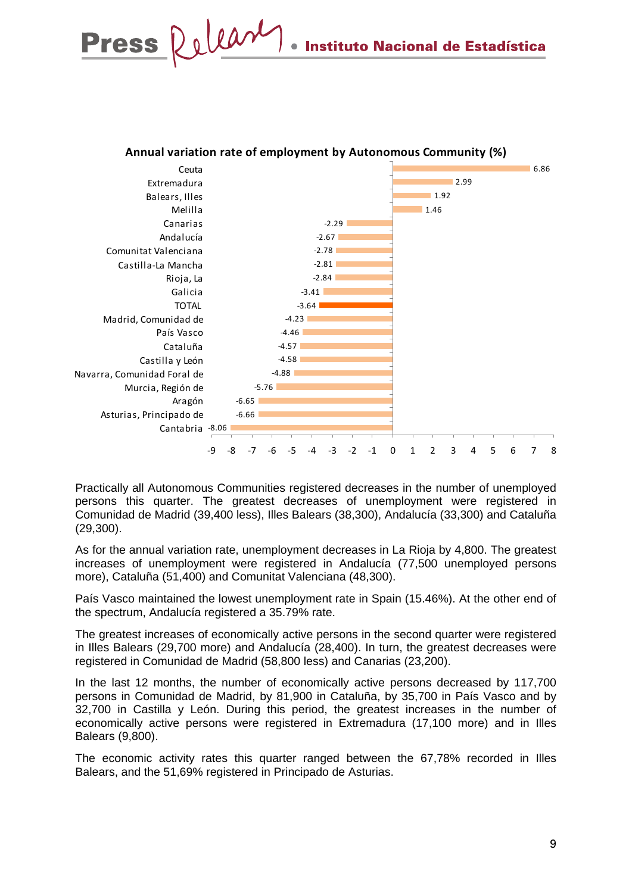### Release **Press** Instituto Nacional de Estadística



**Annual variation rate of employment by Autonomous Community (%)**

Practically all Autonomous Communities registered decreases in the number of unemployed persons this quarter. The greatest decreases of unemployment were registered in Comunidad de Madrid (39,400 less), Illes Balears (38,300), Andalucía (33,300) and Cataluña (29,300).

As for the annual variation rate, unemployment decreases in La Rioja by 4,800. The greatest increases of unemployment were registered in Andalucía (77,500 unemployed persons more), Cataluña (51,400) and Comunitat Valenciana (48,300).

País Vasco maintained the lowest unemployment rate in Spain (15.46%). At the other end of the spectrum, Andalucía registered a 35.79% rate.

The greatest increases of economically active persons in the second quarter were registered in Illes Balears (29,700 more) and Andalucía (28,400). In turn, the greatest decreases were registered in Comunidad de Madrid (58,800 less) and Canarias (23,200).

In the last 12 months, the number of economically active persons decreased by 117,700 persons in Comunidad de Madrid, by 81,900 in Cataluña, by 35,700 in País Vasco and by 32,700 in Castilla y León. During this period, the greatest increases in the number of economically active persons were registered in Extremadura (17,100 more) and in Illes Balears (9,800).

The economic activity rates this quarter ranged between the 67,78% recorded in Illes Balears, and the 51,69% registered in Principado de Asturias.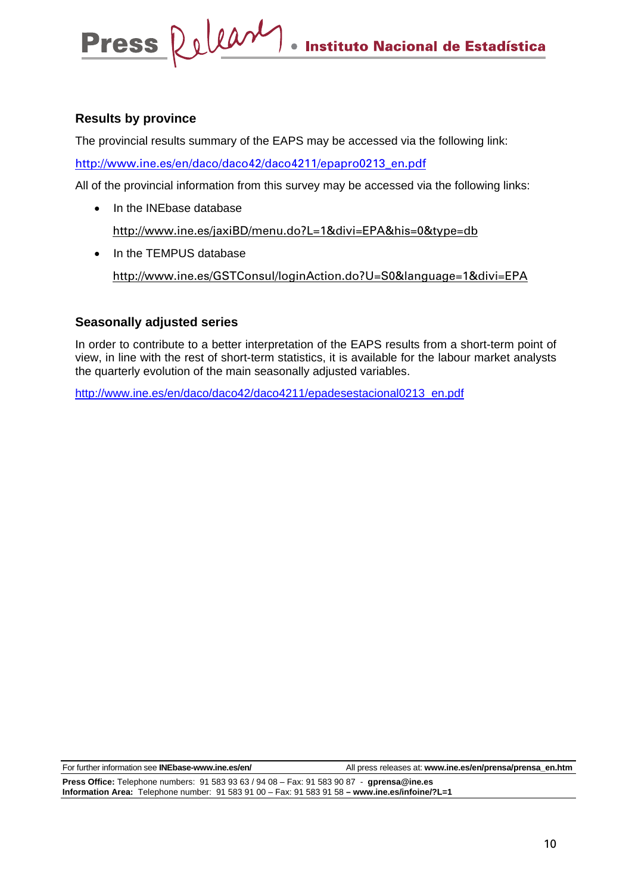

### **Results by province**

The provincial results summary of the EAPS may be accessed via the following link:

http://www.ine.es/en/daco/daco42/daco4211/epapro0213\_en.pdf

All of the provincial information from this survey may be accessed via the following links:

• In the INEbase database

http://www.ine.es/jaxiBD/menu.do?L=1&divi=EPA&his=0&type=db

• In the TFMPUS database http://www.ine.es/GSTConsul/loginAction.do?U=S0&language=1&divi=EPA

### **Seasonally adjusted series**

In order to contribute to a better interpretation of the EAPS results from a short-term point of view, in line with the rest of short-term statistics, it is available for the labour market analysts the quarterly evolution of the main seasonally adjusted variables.

http://www.ine.es/en/daco/daco42/daco4211/epadesestacional0213\_en.pdf

For further information see **INEbase-www.ine.es/en/** All press releases at: **www.ine.es/en/prensa/prensa\_en.htm** 

**Press Office:** Telephone numbers: 91 583 93 63 / 94 08 – Fax: 91 583 90 87 - **gprensa@ine.es Information Area:** Telephone number: 91 583 91 00 – Fax: 91 583 91 58 **– www.ine.es/infoine/?L=1**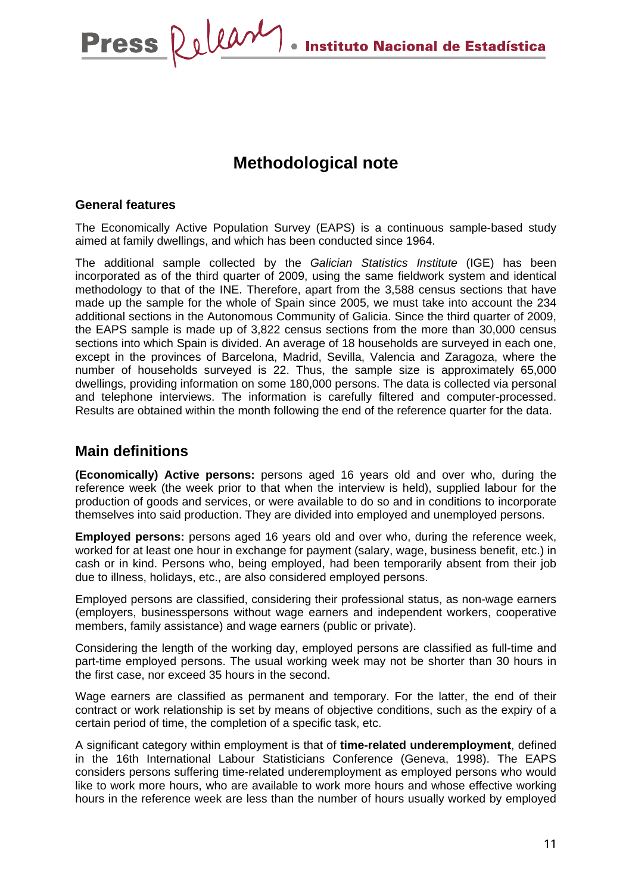# **Methodological note**

### **General features**

The Economically Active Population Survey (EAPS) is a continuous sample-based study aimed at family dwellings, and which has been conducted since 1964.

The additional sample collected by the *Galician Statistics Institute* (IGE) has been incorporated as of the third quarter of 2009, using the same fieldwork system and identical methodology to that of the INE. Therefore, apart from the 3,588 census sections that have made up the sample for the whole of Spain since 2005, we must take into account the 234 additional sections in the Autonomous Community of Galicia. Since the third quarter of 2009, the EAPS sample is made up of 3,822 census sections from the more than 30,000 census sections into which Spain is divided. An average of 18 households are surveyed in each one, except in the provinces of Barcelona, Madrid, Sevilla, Valencia and Zaragoza, where the number of households surveyed is 22. Thus, the sample size is approximately 65,000 dwellings, providing information on some 180,000 persons. The data is collected via personal and telephone interviews. The information is carefully filtered and computer-processed. Results are obtained within the month following the end of the reference quarter for the data.

### **Main definitions**

**(Economically) Active persons:** persons aged 16 years old and over who, during the reference week (the week prior to that when the interview is held), supplied labour for the production of goods and services, or were available to do so and in conditions to incorporate themselves into said production. They are divided into employed and unemployed persons.

**Employed persons:** persons aged 16 years old and over who, during the reference week, worked for at least one hour in exchange for payment (salary, wage, business benefit, etc.) in cash or in kind. Persons who, being employed, had been temporarily absent from their job due to illness, holidays, etc., are also considered employed persons.

Employed persons are classified, considering their professional status, as non-wage earners (employers, businesspersons without wage earners and independent workers, cooperative members, family assistance) and wage earners (public or private).

Considering the length of the working day, employed persons are classified as full-time and part-time employed persons. The usual working week may not be shorter than 30 hours in the first case, nor exceed 35 hours in the second.

Wage earners are classified as permanent and temporary. For the latter, the end of their contract or work relationship is set by means of objective conditions, such as the expiry of a certain period of time, the completion of a specific task, etc.

A significant category within employment is that of **time-related underemployment**, defined in the 16th International Labour Statisticians Conference (Geneva, 1998). The EAPS considers persons suffering time-related underemployment as employed persons who would like to work more hours, who are available to work more hours and whose effective working hours in the reference week are less than the number of hours usually worked by employed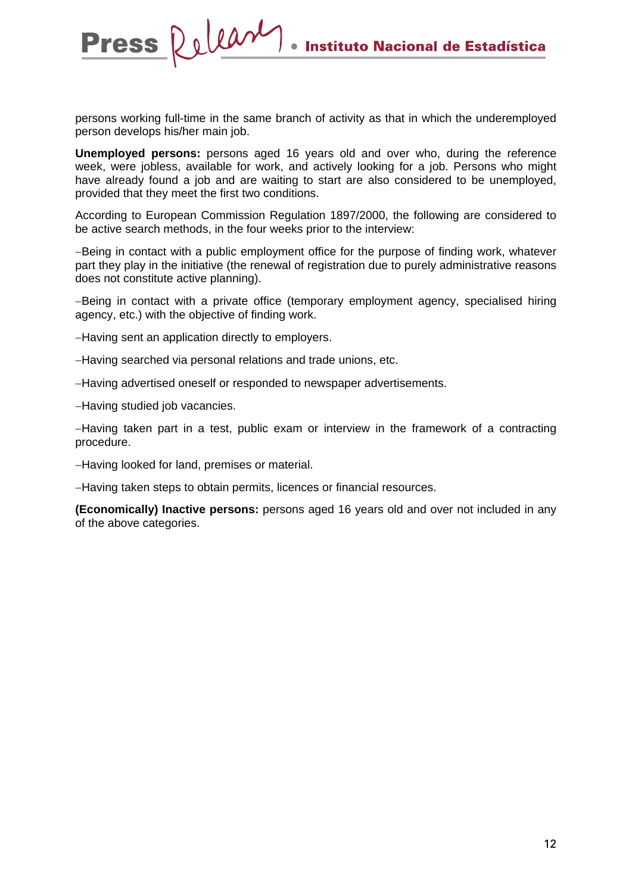persons working full-time in the same branch of activity as that in which the underemployed person develops his/her main job.

**Unemployed persons:** persons aged 16 years old and over who, during the reference week, were jobless, available for work, and actively looking for a job. Persons who might have already found a job and are waiting to start are also considered to be unemployed, provided that they meet the first two conditions.

According to European Commission Regulation 1897/2000, the following are considered to be active search methods, in the four weeks prior to the interview:

−Being in contact with a public employment office for the purpose of finding work, whatever part they play in the initiative (the renewal of registration due to purely administrative reasons does not constitute active planning).

−Being in contact with a private office (temporary employment agency, specialised hiring agency, etc.) with the objective of finding work.

−Having sent an application directly to employers.

Release

**Press** 

−Having searched via personal relations and trade unions, etc.

−Having advertised oneself or responded to newspaper advertisements.

−Having studied job vacancies.

−Having taken part in a test, public exam or interview in the framework of a contracting procedure.

−Having looked for land, premises or material.

−Having taken steps to obtain permits, licences or financial resources.

**(Economically) Inactive persons:** persons aged 16 years old and over not included in any of the above categories.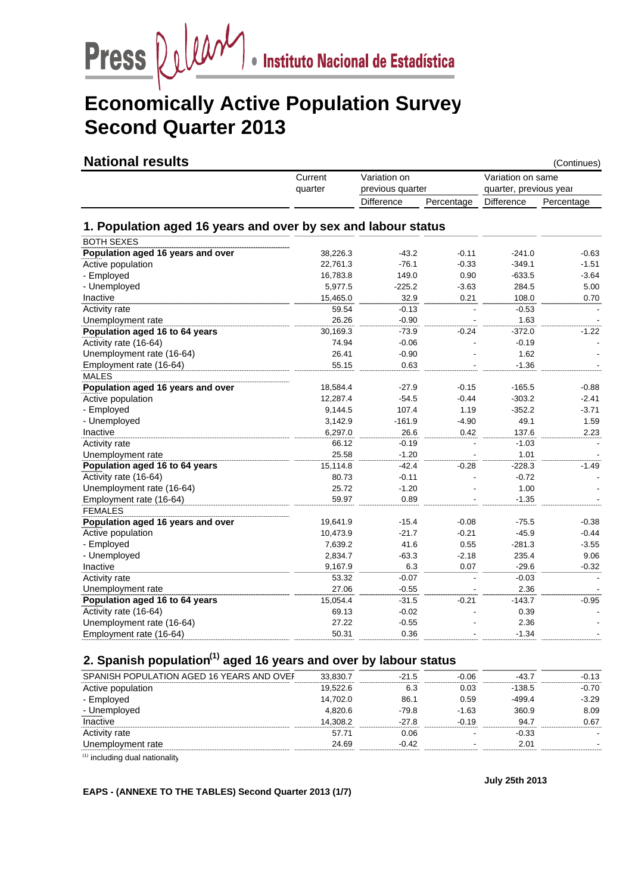

# **Economically Active Population Survey Second Quarter 2013**

### **National results** (Continues)

|                                                               | Current  | Variation on     |            | Variation on same      |                |  |
|---------------------------------------------------------------|----------|------------------|------------|------------------------|----------------|--|
|                                                               | quarter  | previous quarter |            | quarter, previous year |                |  |
|                                                               |          | Difference       | Percentage | Difference             | Percentage     |  |
| 1. Population aged 16 years and over by sex and labour status |          |                  |            |                        |                |  |
| <b>BOTH SEXES</b>                                             |          |                  |            |                        |                |  |
| Population aged 16 years and over                             | 38,226.3 | $-43.2$          | $-0.11$    | $-241.0$               | $-0.63$        |  |
| Active population                                             | 22,761.3 | $-76.1$          | $-0.33$    | $-349.1$               | $-1.51$        |  |
| - Employed                                                    | 16,783.8 | 149.0            | 0.90       | $-633.5$               | $-3.64$        |  |
| - Unemployed                                                  | 5,977.5  | $-225.2$         | $-3.63$    | 284.5                  | 5.00           |  |
| Inactive                                                      | 15,465.0 | 32.9             | 0.21       | 108.0                  | 0.70           |  |
| Activity rate                                                 | 59.54    | $-0.13$          |            | $-0.53$                |                |  |
| Unemployment rate                                             | 26.26    | $-0.90$          |            | 1.63                   |                |  |
| Population aged 16 to 64 years                                | 30,169.3 | $-73.9$          | $-0.24$    | $-372.0$               | $-1.22$        |  |
| Activity rate (16-64)                                         | 74.94    | $-0.06$          |            | $-0.19$                |                |  |
| Unemployment rate (16-64)                                     | 26.41    | $-0.90$          |            | 1.62                   |                |  |
| Employment rate (16-64)                                       | 55.15    | 0.63             |            | $-1.36$                | $\blacksquare$ |  |
| <b>MALES</b>                                                  |          |                  |            |                        |                |  |
| Population aged 16 years and over                             | 18,584.4 | $-27.9$          | $-0.15$    | $-165.5$               | $-0.88$        |  |
| Active population                                             | 12,287.4 | $-54.5$          | $-0.44$    | $-303.2$               | $-2.41$        |  |
| - Employed                                                    | 9,144.5  | 107.4            | 1.19       | $-352.2$               | $-3.71$        |  |
| - Unemployed                                                  | 3,142.9  | $-161.9$         | $-4.90$    | 49.1                   | 1.59           |  |
| Inactive                                                      | 6,297.0  | 26.6             | 0.42       | 137.6                  | 2.23           |  |
| Activity rate                                                 | 66.12    | $-0.19$          |            | $-1.03$                |                |  |
| Unemployment rate                                             | 25.58    | $-1.20$          |            | 1.01                   |                |  |
| Population aged 16 to 64 years                                | 15,114.8 | $-42.4$          | $-0.28$    | $-228.3$               | $-1.49$        |  |
| Activity rate (16-64)                                         | 80.73    | $-0.11$          |            | $-0.72$                |                |  |
| Unemployment rate (16-64)                                     | 25.72    | $-1.20$          |            | 1.00                   |                |  |
| Employment rate (16-64)                                       | 59.97    | 0.89             |            | $-1.35$                |                |  |
| <b>FEMALES</b>                                                |          |                  |            |                        |                |  |
| Population aged 16 years and over                             | 19,641.9 | $-15.4$          | $-0.08$    | $-75.5$                | $-0.38$        |  |
| Active population                                             | 10,473.9 | $-21.7$          | $-0.21$    | $-45.9$                | $-0.44$        |  |
| - Employed                                                    | 7,639.2  | 41.6             | 0.55       | $-281.3$               | $-3.55$        |  |
| - Unemployed                                                  | 2,834.7  | $-63.3$          | $-2.18$    | 235.4                  | 9.06           |  |
| Inactive                                                      | 9,167.9  | 6.3              | 0.07       | $-29.6$                | $-0.32$        |  |
| Activity rate                                                 | 53.32    | $-0.07$          |            | $-0.03$                |                |  |
| Unemployment rate                                             | 27.06    | $-0.55$          |            | 2.36                   |                |  |
| Population aged 16 to 64 years                                | 15,054.4 | $-31.5$          | $-0.21$    | $-143.7$               | $-0.95$        |  |
| Activity rate (16-64)                                         | 69.13    | $-0.02$          |            | 0.39                   |                |  |
| Unemployment rate (16-64)                                     | 27.22    | $-0.55$          |            | 2.36                   |                |  |
| Employment rate (16-64)                                       | 50.31    | 0.36             |            | $-1.34$                |                |  |

# **2. Spanish population(1) aged 16 years and over by labour status**

| TION AGED 16 YEARS AND OVER |          |           | റഭ      |       | 0.13    |
|-----------------------------|----------|-----------|---------|-------|---------|
|                             | 19.522.6 |           | 0.03    | 138.5 | -0.70   |
|                             | 14.702.0 | <b>96</b> | 0.59    | 99 4  | $-3.29$ |
|                             | -820 B   |           | $-1.63$ | 360.9 | 8.09    |
|                             |          |           | ⊢19     | ∂ 4∆  | 0.67    |
|                             | 57 71    | ) በ6      |         | -0.33 |         |
| rate                        | 24.69    |           |         | 2 N 1 |         |
|                             |          |           |         |       |         |

(1) including dual nationality

**EAPS - (ANNEXE TO THE TABLES) Second Quarter 2013 (1/7)**

**July 25th 2013**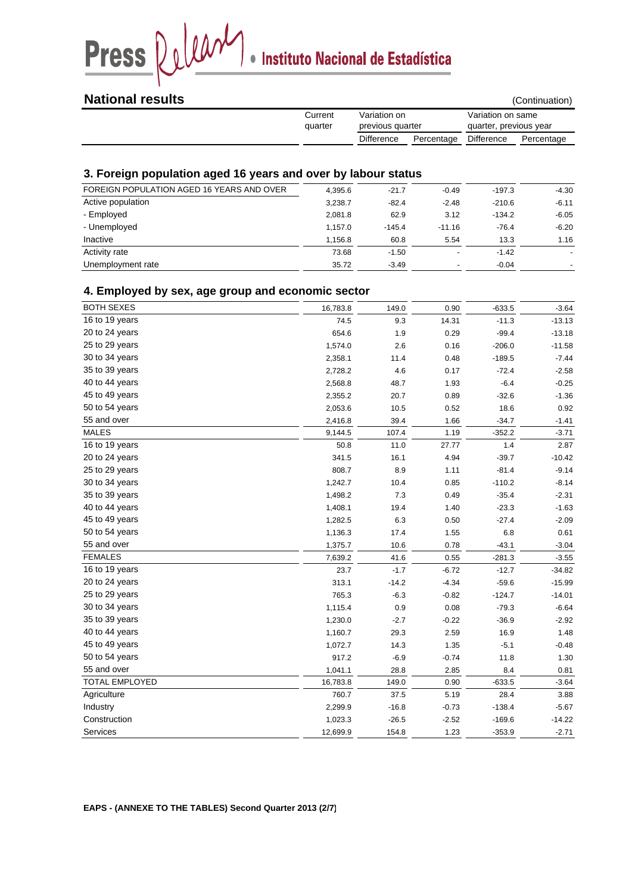

### **National results** (Continuation)

| нанопан сэйнэ |         |                                  |            |                                             | <i><u><b>I</b></u></i> UUIIIIIUAIIUIII |  |
|---------------|---------|----------------------------------|------------|---------------------------------------------|----------------------------------------|--|
|               | Current | Variation on<br>previous quarter |            | Variation on same<br>quarter, previous year |                                        |  |
|               | quarter |                                  |            |                                             |                                        |  |
|               |         | <b>Difference</b>                | Percentage | <b>Difference</b>                           | Percentage                             |  |
|               |         |                                  |            |                                             |                                        |  |

### **3. Foreign population aged 16 years and over by labour status**

| FOREIGN POPULATION AGED 16 YEARS AND OVER | 4.395.6 | $-21.7$  | $-0.49$                  | $-197.3$ | $-4.30$                  |
|-------------------------------------------|---------|----------|--------------------------|----------|--------------------------|
| Active population                         | 3.238.7 | $-82.4$  | $-2.48$                  | $-210.6$ | $-6.11$                  |
| - Employed                                | 2.081.8 | 62.9     | 3.12                     | $-134.2$ | $-6.05$                  |
| - Unemployed                              | 1.157.0 | $-145.4$ | $-11.16$                 | $-76.4$  | $-6.20$                  |
| Inactive                                  | 1.156.8 | 60.8     | 5.54                     | 13.3     | 1.16                     |
| Activity rate                             | 73.68   | $-1.50$  | $\overline{\phantom{0}}$ | $-1.42$  | $\overline{\phantom{a}}$ |
| Unemployment rate                         | 35.72   | $-3.49$  | $\overline{\phantom{0}}$ | $-0.04$  | $\blacksquare$           |

### **4. Employed by sex, age group and economic sector**

| <b>BOTH SEXES</b>     | 16,783.8 | 149.0   | 0.90    | $-633.5$ | $-3.64$  |
|-----------------------|----------|---------|---------|----------|----------|
| 16 to 19 years        | 74.5     | 9.3     | 14.31   | $-11.3$  | $-13.13$ |
| 20 to 24 years        | 654.6    | 1.9     | 0.29    | $-99.4$  | $-13.18$ |
| 25 to 29 years        | 1,574.0  | 2.6     | 0.16    | $-206.0$ | $-11.58$ |
| 30 to 34 years        | 2,358.1  | 11.4    | 0.48    | $-189.5$ | $-7.44$  |
| 35 to 39 years        | 2,728.2  | 4.6     | 0.17    | $-72.4$  | $-2.58$  |
| 40 to 44 years        | 2,568.8  | 48.7    | 1.93    | $-6.4$   | $-0.25$  |
| 45 to 49 years        | 2,355.2  | 20.7    | 0.89    | $-32.6$  | $-1.36$  |
| 50 to 54 years        | 2,053.6  | 10.5    | 0.52    | 18.6     | 0.92     |
| 55 and over           | 2,416.8  | 39.4    | 1.66    | $-34.7$  | $-1.41$  |
| <b>MALES</b>          | 9,144.5  | 107.4   | 1.19    | $-352.2$ | $-3.71$  |
| 16 to 19 years        | 50.8     | 11.0    | 27.77   | 1.4      | 2.87     |
| 20 to 24 years        | 341.5    | 16.1    | 4.94    | $-39.7$  | $-10.42$ |
| 25 to 29 years        | 808.7    | 8.9     | 1.11    | $-81.4$  | $-9.14$  |
| 30 to 34 years        | 1,242.7  | 10.4    | 0.85    | $-110.2$ | $-8.14$  |
| 35 to 39 years        | 1,498.2  | 7.3     | 0.49    | $-35.4$  | $-2.31$  |
| 40 to 44 years        | 1,408.1  | 19.4    | 1.40    | $-23.3$  | $-1.63$  |
| 45 to 49 years        | 1,282.5  | 6.3     | 0.50    | $-27.4$  | $-2.09$  |
| 50 to 54 years        | 1,136.3  | 17.4    | 1.55    | 6.8      | 0.61     |
| 55 and over           | 1,375.7  | 10.6    | 0.78    | $-43.1$  | $-3.04$  |
| <b>FEMALES</b>        | 7,639.2  | 41.6    | 0.55    | $-281.3$ | $-3.55$  |
| 16 to 19 years        | 23.7     | $-1.7$  | $-6.72$ | $-12.7$  | $-34.82$ |
| 20 to 24 years        | 313.1    | $-14.2$ | $-4.34$ | $-59.6$  | $-15.99$ |
| 25 to 29 years        | 765.3    | $-6.3$  | $-0.82$ | $-124.7$ | $-14.01$ |
| 30 to 34 years        | 1,115.4  | 0.9     | 0.08    | $-79.3$  | $-6.64$  |
| 35 to 39 years        | 1,230.0  | $-2.7$  | $-0.22$ | $-36.9$  | $-2.92$  |
| 40 to 44 years        | 1,160.7  | 29.3    | 2.59    | 16.9     | 1.48     |
| 45 to 49 years        | 1,072.7  | 14.3    | 1.35    | $-5.1$   | $-0.48$  |
| 50 to 54 years        | 917.2    | $-6.9$  | $-0.74$ | 11.8     | 1.30     |
| 55 and over           | 1,041.1  | 28.8    | 2.85    | 8.4      | 0.81     |
| <b>TOTAL EMPLOYED</b> | 16,783.8 | 149.0   | 0.90    | $-633.5$ | $-3.64$  |
| Agriculture           | 760.7    | 37.5    | 5.19    | 28.4     | 3.88     |
| Industry              | 2,299.9  | $-16.8$ | $-0.73$ | $-138.4$ | $-5.67$  |
| Construction          | 1,023.3  | $-26.5$ | $-2.52$ | $-169.6$ | $-14.22$ |
| Services              | 12,699.9 | 154.8   | 1.23    | $-353.9$ | $-2.71$  |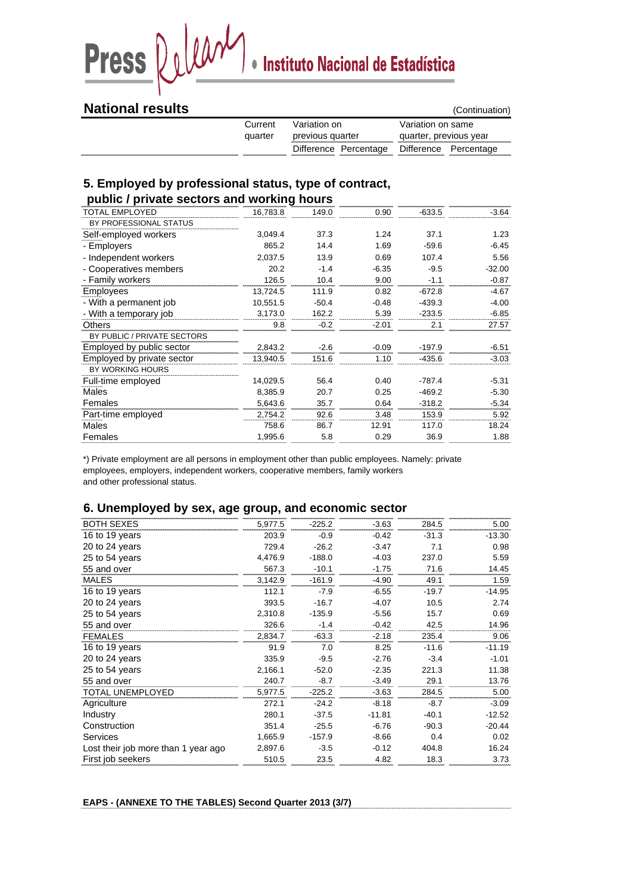# Press Quinti entrance de Estadística

### **National results** (Continuation)

| . |                         |                  | 1 vulituuduvii 1                            |
|---|-------------------------|------------------|---------------------------------------------|
|   | Variation on<br>Current |                  | Variation on same                           |
|   | quarter                 | previous quarter | quarter, previous year                      |
|   |                         |                  | Difference Percentage Difference Percentage |

### **5. Employed by professional status, type of contract, public / private sectors and working hours**

| 16,783.8 | 149.0   | 0.90    | $-633.5$ | $-3.64$  |
|----------|---------|---------|----------|----------|
|          |         |         |          |          |
| 3,049.4  | 37.3    | 1.24    | 37.1     | 1.23     |
| 865.2    | 14.4    | 1.69    | $-59.6$  | $-6.45$  |
| 2,037.5  | 13.9    | 0.69    | 107.4    | 5.56     |
| 20.2     | $-1.4$  | $-6.35$ | $-9.5$   | $-32.00$ |
| 126.5    | 10.4    | 9.00    | $-1.1$   | $-0.87$  |
| 13,724.5 | 111.9   | 0.82    | $-672.8$ | $-4.67$  |
| 10,551.5 | $-50.4$ | $-0.48$ | $-439.3$ | $-4.00$  |
| 3,173.0  | 162.2   | 5.39    | $-233.5$ | $-6.85$  |
| 9.8      | $-0.2$  | $-2.01$ | 2.1      | 27.57    |
|          |         |         |          |          |
| 2,843.2  | $-2.6$  | $-0.09$ | $-197.9$ | $-6.51$  |
| 13,940.5 | 151.6   | 1.10    | -435.6   | $-3.03$  |
|          |         |         |          |          |
| 14,029.5 | 56.4    | 0.40    | $-787.4$ | $-5.31$  |
| 8,385.9  | 20.7    | 0.25    | $-469.2$ | $-5.30$  |
| 5,643.6  | 35.7    | 0.64    | $-318.2$ | $-5.34$  |
| 2,754.2  | 92.6    | 3.48    | 153.9    | 5.92     |
| 758.6    | 86.7    | 12.91   | 117.0    | 18.24    |
| 1,995.6  | 5.8     | 0.29    | 36.9     | 1.88     |
|          |         |         |          |          |

\*) Private employment are all persons in employment other than public employees. Namely: private employees, employers, independent workers, cooperative members, family workers and other professional status.

### **6. Unemployed by sex, age group, and economic sector**

| <b>BOTH SEXES</b>                   | 5,977.5 | $-225.2$ | $-3.63$  | 284.5   | 5.00     |
|-------------------------------------|---------|----------|----------|---------|----------|
| 16 to 19 years                      | 203.9   | $-0.9$   | $-0.42$  | $-31.3$ | $-13.30$ |
| 20 to 24 years                      | 729.4   | $-26.2$  | $-3.47$  | 7.1     | 0.98     |
| 25 to 54 years                      | 4,476.9 | $-188.0$ | $-4.03$  | 237.0   | 5.59     |
| 55 and over                         | 567.3   | $-10.1$  | $-1.75$  | 71.6    | 14.45    |
| <b>MALES</b>                        | 3,142.9 | $-161.9$ | $-4.90$  | 49.1    | 1.59     |
| 16 to 19 years                      | 112.1   | $-7.9$   | $-6.55$  | $-19.7$ | $-14.95$ |
| 20 to 24 years                      | 393.5   | $-16.7$  | $-4.07$  | 10.5    | 2.74     |
| 25 to 54 years                      | 2,310.8 | $-135.9$ | $-5.56$  | 15.7    | 0.69     |
| 55 and over                         | 326.6   | $-1.4$   | $-0.42$  | 42.5    | 14.96    |
| <b>FEMALES</b>                      | 2,834.7 | $-63.3$  | $-2.18$  | 235.4   | 9.06     |
| 16 to 19 years                      | 91.9    | 7.0      | 8.25     | $-11.6$ | $-11.19$ |
| 20 to 24 years                      | 335.9   | $-9.5$   | $-2.76$  | $-3.4$  | $-1.01$  |
| 25 to 54 years                      | 2,166.1 | $-52.0$  | $-2.35$  | 221.3   | 11.38    |
| 55 and over                         | 240.7   | $-8.7$   | $-3.49$  | 29.1    | 13.76    |
| TOTAL UNEMPLOYED                    | 5,977.5 | $-225.2$ | $-3.63$  | 284.5   | 5.00     |
| Agriculture                         | 272.1   | $-24.2$  | $-8.18$  | $-8.7$  | $-3.09$  |
| Industry                            | 280.1   | $-37.5$  | $-11.81$ | $-40.1$ | $-12.52$ |
| Construction                        | 351.4   | $-25.5$  | $-6.76$  | $-90.3$ | $-20.44$ |
| <b>Services</b>                     | 1,665.9 | $-157.9$ | $-8.66$  | 0.4     | 0.02     |
| Lost their job more than 1 year ago | 2,897.6 | $-3.5$   | $-0.12$  | 404.8   | 16.24    |
| First job seekers                   | 510.5   | 23.5     | 4.82     | 18.3    | 3.73     |

**EAPS - (ANNEXE TO THE TABLES) Second Quarter 2013 (3/7)**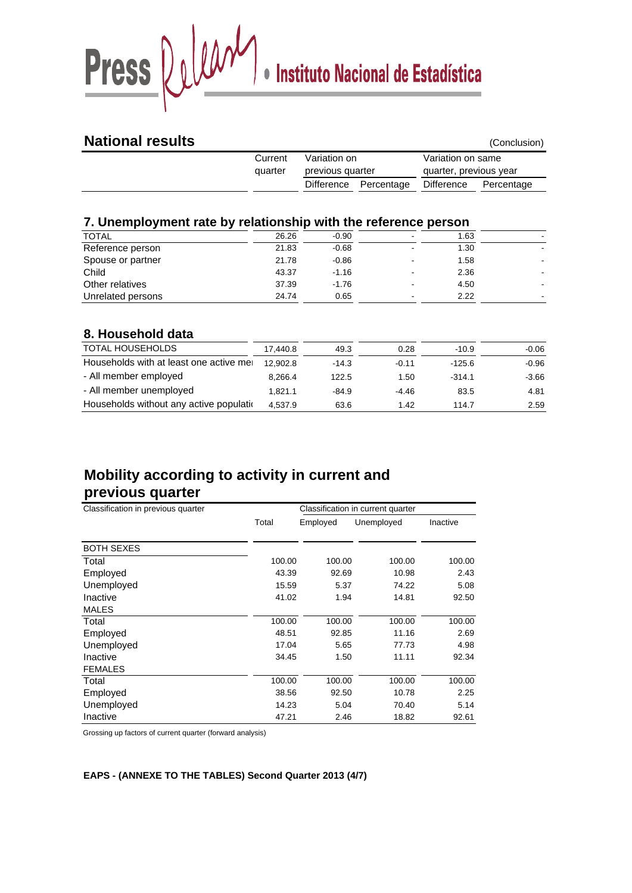# Press Quart . Instituto Nacional de Estadística

| <b>National results</b> |                                                                                                       |  |                       |            | (Conclusion) |
|-------------------------|-------------------------------------------------------------------------------------------------------|--|-----------------------|------------|--------------|
|                         | Variation on same<br>Variation on<br>Current<br>quarter, previous year<br>previous quarter<br>quarter |  |                       |            |              |
|                         |                                                                                                       |  | Difference Percentage | Difference | Percentage   |
|                         |                                                                                                       |  |                       |            |              |

### **7. Unemployment rate by relationship with the reference person**

| <b>TOTAL</b>      | 26.26 | $-0.90$ | 1.63 |  |
|-------------------|-------|---------|------|--|
| Reference person  | 21.83 | $-0.68$ | 1.30 |  |
| Spouse or partner | 21.78 | $-0.86$ | 1.58 |  |
| Child             | 43.37 | $-1.16$ | 2.36 |  |
| Other relatives   | 37.39 | $-1.76$ | 4.50 |  |
| Unrelated persons | 24.74 | 0.65    | 2.22 |  |

### **8. Household data**

| <b>TOTAL HOUSEHOLDS</b>                   | 17,440.8 | 49.3    | 0.28    | $-10.9$  | -0.06   |
|-------------------------------------------|----------|---------|---------|----------|---------|
| Households with at least one active mere  | 12.902.8 | $-14.3$ | $-0.11$ | $-125.6$ | $-0.96$ |
| - All member employed                     | 8.266.4  | 122.5   | 1.50    | $-314.1$ | $-3.66$ |
| - All member unemployed                   | 1.821.1  | $-84.9$ | $-4.46$ | 83.5     | 4.81    |
| Households without any active population- | 4.537.9  | 63.6    | 1.42    | 114.7    | 2.59    |

# **Mobility according to activity in current and previous quarter**

| Classification in previous quarter | Classification in current quarter |          |            |          |  |  |
|------------------------------------|-----------------------------------|----------|------------|----------|--|--|
|                                    | Total                             | Employed | Unemployed | Inactive |  |  |
| <b>BOTH SEXES</b>                  |                                   |          |            |          |  |  |
| Total                              | 100.00                            | 100.00   | 100.00     | 100.00   |  |  |
| Employed                           | 43.39                             | 92.69    | 10.98      | 2.43     |  |  |
| Unemployed                         | 15.59                             | 5.37     | 74.22      | 5.08     |  |  |
| Inactive                           | 41.02                             | 1.94     | 14.81      | 92.50    |  |  |
| <b>MALES</b>                       |                                   |          |            |          |  |  |
| Total                              | 100.00                            | 100.00   | 100.00     | 100.00   |  |  |
| Employed                           | 48.51                             | 92.85    | 11.16      | 2.69     |  |  |
| Unemployed                         | 17.04                             | 5.65     | 77.73      | 4.98     |  |  |
| Inactive                           | 34.45                             | 1.50     | 11.11      | 92.34    |  |  |
| <b>FEMALES</b>                     |                                   |          |            |          |  |  |
| Total                              | 100.00                            | 100.00   | 100.00     | 100.00   |  |  |
| Employed                           | 38.56                             | 92.50    | 10.78      | 2.25     |  |  |
| Unemployed                         | 14.23                             | 5.04     | 70.40      | 5.14     |  |  |
| Inactive                           | 47.21                             | 2.46     | 18.82      | 92.61    |  |  |

Grossing up factors of current quarter (forward analysis)

### **EAPS - (ANNEXE TO THE TABLES) Second Quarter 2013 (4/7)**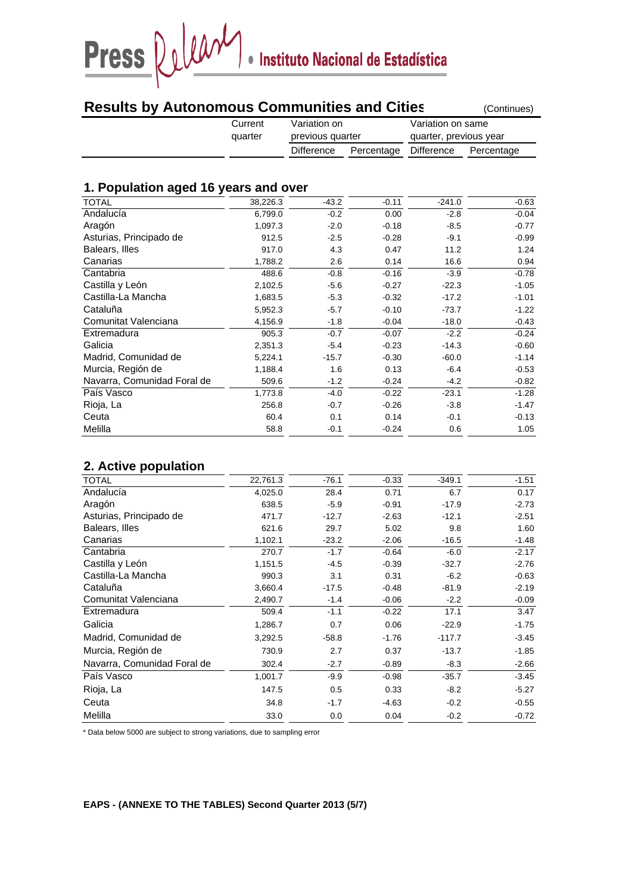Press Quean . Instituto Nacional de Estadística

|  | <b>Results by Autonomous Communities and Cities</b> | (Continues) |
|--|-----------------------------------------------------|-------------|
|  |                                                     |             |

| Current | Variation on     |  | Variation on same      |                                  |  |
|---------|------------------|--|------------------------|----------------------------------|--|
| quarter | previous quarter |  | quarter, previous year |                                  |  |
|         | Difference       |  |                        | Percentage Difference Percentage |  |

### **1. Population aged 16 years and over**

| <b>TOTAL</b>                | 38,226.3 | $-43.2$ | $-0.11$ | $-241.0$ | $-0.63$ |
|-----------------------------|----------|---------|---------|----------|---------|
| Andalucía                   | 6,799.0  | $-0.2$  | 0.00    | $-2.8$   | $-0.04$ |
| Aragón                      | 1,097.3  | $-2.0$  | $-0.18$ | $-8.5$   | $-0.77$ |
| Asturias, Principado de     | 912.5    | $-2.5$  | $-0.28$ | $-9.1$   | $-0.99$ |
| Balears, Illes              | 917.0    | 4.3     | 0.47    | 11.2     | 1.24    |
| Canarias                    | 1,788.2  | 2.6     | 0.14    | 16.6     | 0.94    |
| Cantabria                   | 488.6    | $-0.8$  | $-0.16$ | $-3.9$   | $-0.78$ |
| Castilla y León             | 2,102.5  | $-5.6$  | $-0.27$ | $-22.3$  | $-1.05$ |
| Castilla-La Mancha          | 1,683.5  | $-5.3$  | $-0.32$ | $-17.2$  | $-1.01$ |
| Cataluña                    | 5,952.3  | $-5.7$  | $-0.10$ | $-73.7$  | $-1.22$ |
| Comunitat Valenciana        | 4,156.9  | $-1.8$  | $-0.04$ | $-18.0$  | $-0.43$ |
| Extremadura                 | 905.3    | $-0.7$  | $-0.07$ | $-2.2$   | $-0.24$ |
| Galicia                     | 2,351.3  | $-5.4$  | $-0.23$ | $-14.3$  | $-0.60$ |
| Madrid, Comunidad de        | 5,224.1  | $-15.7$ | $-0.30$ | $-60.0$  | $-1.14$ |
| Murcia, Región de           | 1,188.4  | 1.6     | 0.13    | $-6.4$   | $-0.53$ |
| Navarra, Comunidad Foral de | 509.6    | $-1.2$  | $-0.24$ | $-4.2$   | $-0.82$ |
| País Vasco                  | 1,773.8  | $-4.0$  | $-0.22$ | $-23.1$  | $-1.28$ |
| Rioja, La                   | 256.8    | $-0.7$  | $-0.26$ | $-3.8$   | $-1.47$ |
| Ceuta                       | 60.4     | 0.1     | 0.14    | $-0.1$   | $-0.13$ |
| Melilla                     | 58.8     | $-0.1$  | $-0.24$ | 0.6      | 1.05    |

### **2. Active population**

| <b>TOTAL</b>                | 22,761.3 | $-76.1$ | $-0.33$ | $-349.1$ | $-1.51$ |
|-----------------------------|----------|---------|---------|----------|---------|
| Andalucía                   | 4,025.0  | 28.4    | 0.71    | 6.7      | 0.17    |
| Aragón                      | 638.5    | $-5.9$  | $-0.91$ | $-17.9$  | $-2.73$ |
| Asturias, Principado de     | 471.7    | $-12.7$ | $-2.63$ | $-12.1$  | $-2.51$ |
| Balears, Illes              | 621.6    | 29.7    | 5.02    | 9.8      | 1.60    |
| Canarias                    | 1,102.1  | $-23.2$ | $-2.06$ | $-16.5$  | $-1.48$ |
| Cantabria                   | 270.7    | $-1.7$  | $-0.64$ | $-6.0$   | $-2.17$ |
| Castilla y León             | 1,151.5  | $-4.5$  | $-0.39$ | $-32.7$  | $-2.76$ |
| Castilla-La Mancha          | 990.3    | 3.1     | 0.31    | $-6.2$   | $-0.63$ |
| Cataluña                    | 3,660.4  | $-17.5$ | $-0.48$ | $-81.9$  | $-2.19$ |
| Comunitat Valenciana        | 2,490.7  | $-1.4$  | $-0.06$ | $-2.2$   | $-0.09$ |
| Extremadura                 | 509.4    | $-1.1$  | $-0.22$ | 17.1     | 3.47    |
| Galicia                     | 1,286.7  | 0.7     | 0.06    | $-22.9$  | $-1.75$ |
| Madrid, Comunidad de        | 3,292.5  | $-58.8$ | $-1.76$ | $-117.7$ | $-3.45$ |
| Murcia, Región de           | 730.9    | 2.7     | 0.37    | $-13.7$  | $-1.85$ |
| Navarra, Comunidad Foral de | 302.4    | $-2.7$  | $-0.89$ | $-8.3$   | $-2.66$ |
| País Vasco                  | 1,001.7  | $-9.9$  | $-0.98$ | $-35.7$  | $-3.45$ |
| Rioja, La                   | 147.5    | 0.5     | 0.33    | $-8.2$   | $-5.27$ |
| Ceuta                       | 34.8     | $-1.7$  | $-4.63$ | $-0.2$   | $-0.55$ |
| Melilla                     | 33.0     | 0.0     | 0.04    | $-0.2$   | $-0.72$ |

\* Data below 5000 are subject to strong variations, due to sampling error

### **EAPS - (ANNEXE TO THE TABLES) Second Quarter 2013 (5/7)**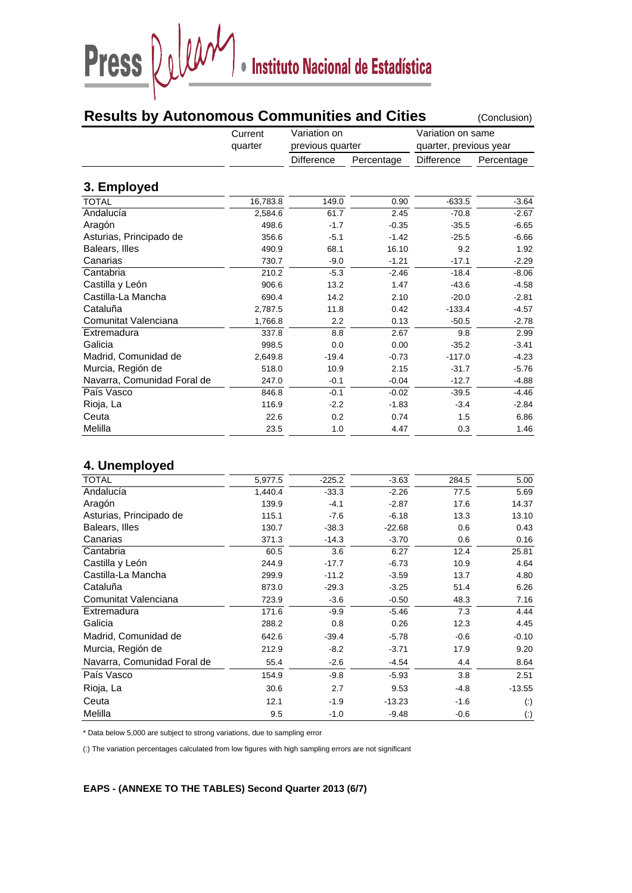# Press Queat

| <b>Results by Autonomous Communities and Cities</b><br>(Conclusion) |          |                   |            |                                             |            |  |  |  |  |
|---------------------------------------------------------------------|----------|-------------------|------------|---------------------------------------------|------------|--|--|--|--|
|                                                                     | Current  | Variation on      |            | Variation on same<br>quarter, previous year |            |  |  |  |  |
|                                                                     | quarter  | previous quarter  |            |                                             |            |  |  |  |  |
|                                                                     |          | <b>Difference</b> | Percentage | <b>Difference</b>                           | Percentage |  |  |  |  |
| 3. Employed                                                         |          |                   |            |                                             |            |  |  |  |  |
| <b>TOTAL</b>                                                        | 16,783.8 | 149.0             | 0.90       | $-633.5$                                    | $-3.64$    |  |  |  |  |
| Andalucía                                                           | 2.584.6  | 61.7              | 2.45       | $-70.8$                                     | $-2.67$    |  |  |  |  |
| Aragón                                                              | 498.6    | $-1.7$            | $-0.35$    | $-35.5$                                     | $-6.65$    |  |  |  |  |
| Asturias, Principado de                                             | 356.6    | $-5.1$            | $-1.42$    | $-25.5$                                     | $-6.66$    |  |  |  |  |
| Balears, Illes                                                      | 490.9    | 68.1              | 16.10      | 9.2                                         | 1.92       |  |  |  |  |
| Canarias                                                            | 730.7    | $-9.0$            | $-1.21$    | $-17.1$                                     | $-2.29$    |  |  |  |  |
| Cantabria                                                           | 210.2    | $-5.3$            | $-2.46$    | $-18.4$                                     | $-8.06$    |  |  |  |  |
| Castilla y León                                                     | 906.6    | 13.2              | 1.47       | $-43.6$                                     | $-4.58$    |  |  |  |  |
| Castilla-La Mancha                                                  | 690.4    | 14.2              | 2.10       | $-20.0$                                     | $-2.81$    |  |  |  |  |
| Cataluña                                                            | 2,787.5  | 11.8              | 0.42       | $-133.4$                                    | $-4.57$    |  |  |  |  |
| Comunitat Valenciana                                                | 1,766.8  | 2.2               | 0.13       | $-50.5$                                     | $-2.78$    |  |  |  |  |
| Extremadura                                                         | 337.8    | 8.8               | 2.67       | 9.8                                         | 2.99       |  |  |  |  |
| Galicia                                                             | 998.5    | 0.0               | 0.00       | $-35.2$                                     | $-3.41$    |  |  |  |  |
| Madrid, Comunidad de                                                | 2,649.8  | $-19.4$           | $-0.73$    | $-117.0$                                    | $-4.23$    |  |  |  |  |
| Murcia, Región de                                                   | 518.0    | 10.9              | 2.15       | $-31.7$                                     | $-5.76$    |  |  |  |  |
| Navarra, Comunidad Foral de                                         | 247.0    | $-0.1$            | $-0.04$    | $-12.7$                                     | $-4.88$    |  |  |  |  |
| País Vasco                                                          | 846.8    | $-0.1$            | $-0.02$    | $-39.5$                                     | $-4.46$    |  |  |  |  |
| Rioja, La                                                           | 116.9    | $-2.2$            | $-1.83$    | $-3.4$                                      | $-2.84$    |  |  |  |  |
| Ceuta                                                               | 22.6     | 0.2               | 0.74       | 1.5                                         | 6.86       |  |  |  |  |
| Melilla                                                             | 23.5     | 1.0               | 4.47       | 0.3                                         | 1.46       |  |  |  |  |
|                                                                     |          |                   |            |                                             |            |  |  |  |  |

### **4. Unemployed**

| <b>TOTAL</b>                | 5,977.5 | $-225.2$ | $-3.63$  | 284.5  | 5.00                   |
|-----------------------------|---------|----------|----------|--------|------------------------|
| Andalucía                   | 1,440.4 | $-33.3$  | $-2.26$  | 77.5   | 5.69                   |
| Aragón                      | 139.9   | $-4.1$   | $-2.87$  | 17.6   | 14.37                  |
| Asturias, Principado de     | 115.1   | $-7.6$   | $-6.18$  | 13.3   | 13.10                  |
| Balears, Illes              | 130.7   | $-38.3$  | $-22.68$ | 0.6    | 0.43                   |
| Canarias                    | 371.3   | $-14.3$  | $-3.70$  | 0.6    | 0.16                   |
| Cantabria                   | 60.5    | 3.6      | 6.27     | 12.4   | 25.81                  |
| Castilla y León             | 244.9   | $-17.7$  | $-6.73$  | 10.9   | 4.64                   |
| Castilla-La Mancha          | 299.9   | $-11.2$  | $-3.59$  | 13.7   | 4.80                   |
| Cataluña                    | 873.0   | $-29.3$  | $-3.25$  | 51.4   | 6.26                   |
| Comunitat Valenciana        | 723.9   | $-3.6$   | $-0.50$  | 48.3   | 7.16                   |
| Extremadura                 | 171.6   | $-9.9$   | $-5.46$  | 7.3    | 4.44                   |
| Galicia                     | 288.2   | 0.8      | 0.26     | 12.3   | 4.45                   |
| Madrid, Comunidad de        | 642.6   | $-39.4$  | $-5.78$  | $-0.6$ | $-0.10$                |
| Murcia, Región de           | 212.9   | $-8.2$   | $-3.71$  | 17.9   | 9.20                   |
| Navarra, Comunidad Foral de | 55.4    | $-2.6$   | $-4.54$  | 4.4    | 8.64                   |
| País Vasco                  | 154.9   | $-9.8$   | $-5.93$  | 3.8    | 2.51                   |
| Rioja, La                   | 30.6    | 2.7      | 9.53     | $-4.8$ | $-13.55$               |
| Ceuta                       | 12.1    | $-1.9$   | $-13.23$ | $-1.6$ | $\left( \cdot \right)$ |
| Melilla                     | 9.5     | $-1.0$   | $-9.48$  | $-0.6$ | $\left( \cdot \right)$ |

\* Data below 5,000 are subject to strong variations, due to sampling error

(:) The variation percentages calculated from low figures with high sampling errors are not significant

**EAPS - (ANNEXE TO THE TABLES) Second Quarter 2013 (6/7)**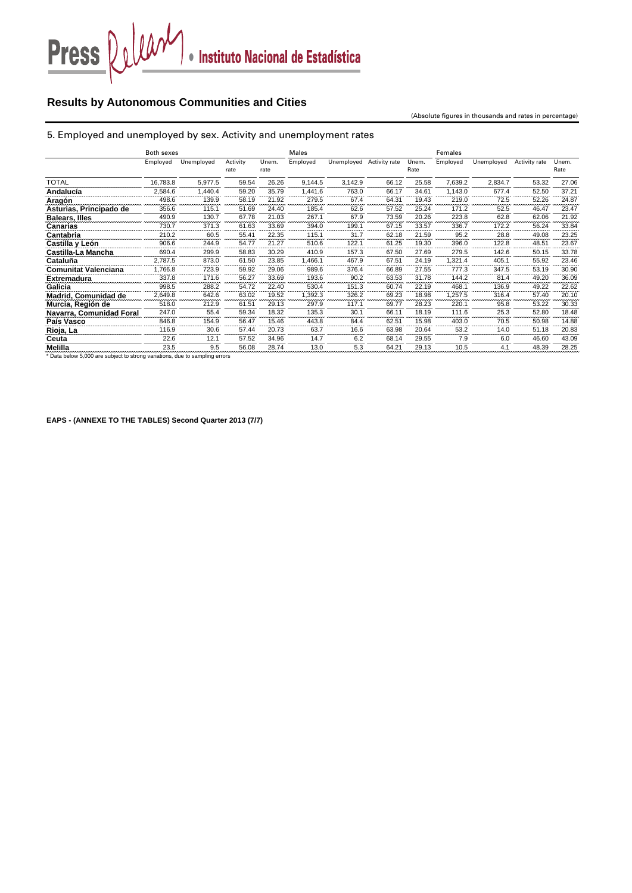

### **Results by Autonomous Communities and Cities**

#### (Absolute figures in thousands and rates in percentage)

### 5. Employed and unemployed by sex. Activity and unemployment rates

|                                                                             | Both sexes |            |                  | Males         |          |            |               | Females       |          |            |               |               |
|-----------------------------------------------------------------------------|------------|------------|------------------|---------------|----------|------------|---------------|---------------|----------|------------|---------------|---------------|
|                                                                             | Employed   | Unemployed | Activity<br>rate | Unem.<br>rate | Employed | Unemployed | Activity rate | Unem.<br>Rate | Employed | Unemployed | Activity rate | Unem.<br>Rate |
| <b>TOTAL</b>                                                                | 16,783.8   | 5,977.5    | 59.54            | 26.26         | 9,144.5  | 3,142.9    | 66.12         | 25.58         | 7,639.2  | 2,834.7    | 53.32         | 27.06         |
| Andalucía                                                                   | 2,584.6    | 1,440.4    | 59.20            | 35.79         | 1,441.6  | 763.0      | 66.17         | 34.61         | 1,143.0  | 677.4      | 52.50         | 37.21         |
| Aragón                                                                      | 498.6      | 139.9      | 58.19            | 21.92         | 279.5    | 67.4       | 64.31         | 19.43         | 219.0    | 72.5       | 52.26         | 24.87         |
| Asturias, Principado de                                                     | 356.6      | 115.1      | 51.69            | 24.40         | 185.4    | 62.6       | 57.52         | 25.24         | 171.2    | 52.5       | 46.47         | 23.47         |
| <b>Balears, Illes</b>                                                       | 490.9      | 130.7      | 67.78            | 21.03         | 267.1    | 67.9       | 73.59         | 20.26         | 223.8    | 62.8       | 62.06         | 21.92         |
| Canarias                                                                    | 730.7      | 371.3      | 61.63            | 33.69         | 394.0    | 199.1      | 67.15         | 33.57         | 336.7    | 172.2      | 56.24         | 33.84         |
| Cantabria                                                                   | 210.2      | 60.5       | 55.41            | 22.35         | 115.1    | 31.7       | 62.18         | 21.59         | 95.2     | 28.8       | 49.08         | 23.25         |
| Castilla y León                                                             | 906.6      | 244.9      | 54.77            | 21.27         | 510.6    | 122.1      | 61.25         | 19.30         | 396.0    | 122.8      | 48.51         | 23.67         |
| Castilla-La Mancha                                                          | 690.4      | 299.9      | 58.83            | 30.29         | 410.9    | 157.3      | 67.50         | 27.69         | 279.5    | 142.6      | 50.15         | 33.78         |
| Cataluña                                                                    | 2,787.5    | 873.0      | 61.50            | 23.85         | ,466.1   | 467.9      | 67.51         | 24.19         | 1,321.4  | 405.1      | 55.92         | 23.46         |
| <b>Comunitat Valenciana</b>                                                 | 1,766.8    | 723.9      | 59.92            | 29.06         | 989.6    | 376.4      | 66.89         | 27.55         | 777.3    | 347.5      | 53.19         | 30.90         |
| <b>Extremadura</b>                                                          | 337.8      | 171.6      | 56.27            | 33.69         | 193.6    | 90.2       | 63.53         | 31.78         | 144.2    | 81.4       | 49.20         | 36.09         |
| Galicia                                                                     | 998.5      | 288.2      | 54.72            | 22.40         | 530.4    | 151.3      | 60.74         | 22.19         | 468.1    | 136.9      | 49.22         | 22.62         |
| Madrid, Comunidad de                                                        | 2,649.8    | 642.6      | 63.02            | 19.52         | 1,392.3  | 326.2      | 69.23         | 18.98         | 1,257.5  | 316.4      | 57.40         | 20.10         |
| Murcia, Región de                                                           | 518.0      | 212.9      | 61.51            | 29.13         | 297.9    | 117.1      | 69.77         | 28.23         | 220.1    | 95.8       | 53.22         | 30.33         |
| Navarra, Comunidad Foral                                                    | 247.0      | 55.4       | 59.34            | 18.32         | 135.3    | 30.1       | 66.11         | 18.19         | 111.6    | 25.3       | 52.80         | 18.48         |
| País Vasco                                                                  | 846.8      | 154.9      | 56.47            | 15.46         | 443.8    | 84.4       | 62.51         | 15.98         | 403.0    | 70.5       | 50.98         | 14.88         |
| Rioja, La                                                                   | 116.9      | 30.6       | 57.44            | 20.73         | 63.7     | 16.6       | 63.98         | 20.64         | 53.2     | 14.0       | 51.18         | 20.83         |
| Ceuta                                                                       | 22.6       | 12.1       | 57.52            | 34.96         | 14.7     | 6.2        | 68.14         | 29.55         | 7.9      | 6.0        | 46.60         | 43.09         |
| <b>Melilla</b>                                                              | 23.5       | 9.5        | 56.08            | 28.74         | 13.0     | 5.3        | 64.21         | 29.13         | 10.5     | 4.1        | 48.39         | 28.25         |
| * Data below 5,000 are subject to strong variations, due to sampling errors |            |            |                  |               |          |            |               |               |          |            |               |               |

**EAPS - (ANNEXE TO THE TABLES) Second Quarter 2013 (7/7)**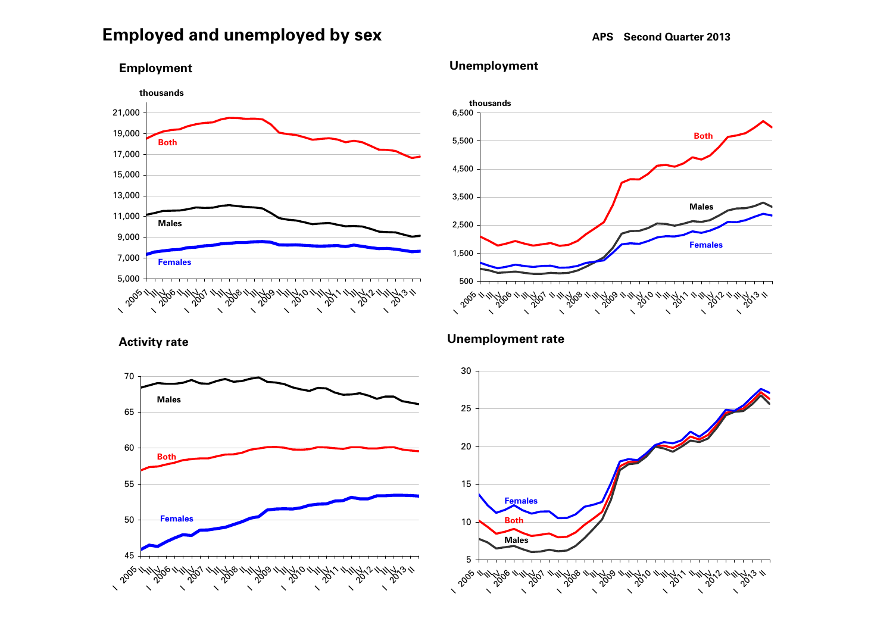# **Employed and unemployed by sex APS** Second Quarter 2013





### **Unemployment**





### **Unemployment rate**

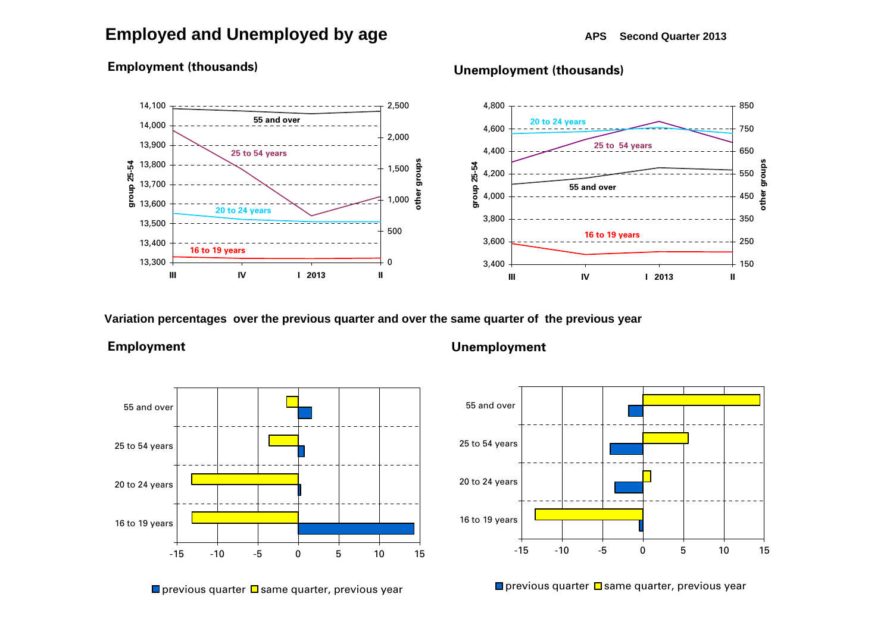## **Employed and Unemployed by age <b>APS** APS Second Quarter 2013



### **Employment (thousands)**

### **Variation percentages over the previous quarter and over the same quarter of the previous year**

### **Employment**



### **Unemployed Unemployment**

**Unemployment (thousands)**



previous quarter □same quarter, previous year

previous quarter  $\bm{\Box}$  same quarter, previous year